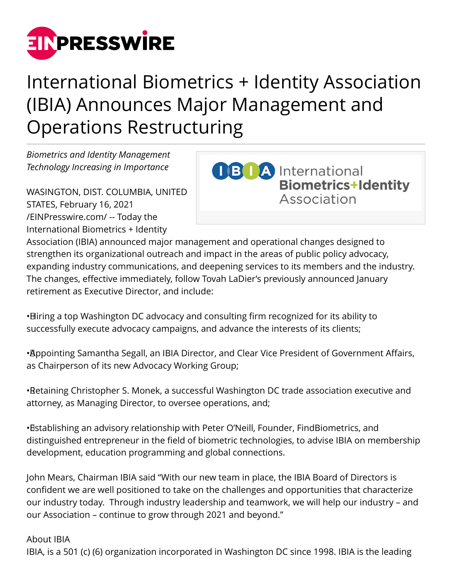

## International Biometrics + Identity Association (IBIA) Announces Major Management and Operations Restructuring

*Biometrics and Identity Management Technology Increasing in Importance*

WASINGTON, DIST. COLUMBIA, UNITED STATES, February 16, 2021 [/EINPresswire.com/](http://www.einpresswire.com) -- Today the International Biometrics + Identity

**OBTA** International **Biometrics+Identity** Association

Association (IBIA) announced major management and operational changes designed to strengthen its organizational outreach and impact in the areas of public policy advocacy, expanding industry communications, and deepening services to its members and the industry. The changes, effective immediately, follow Tovah LaDier's previously announced January retirement as Executive Director, and include:

• Hiring a top Washington DC advocacy and consulting firm recognized for its ability to successfully execute advocacy campaigns, and advance the interests of its clients;

• Appointing Samantha Segall, an IBIA Director, and Clear Vice President of Government Affairs, as Chairperson of its new Advocacy Working Group;

• Retaining Christopher S. Monek, a successful Washington DC trade association executive and attorney, as Managing Director, to oversee operations, and;

• Establishing an advisory relationship with Peter O'Neill, Founder, FindBiometrics, and distinguished entrepreneur in the field of biometric technologies, to advise IBIA on membership development, education programming and global connections.

John Mears, Chairman IBIA said "With our new team in place, the IBIA Board of Directors is confident we are well positioned to take on the challenges and opportunities that characterize our industry today. Through industry leadership and teamwork, we will help our industry – and our Association – continue to grow through 2021 and beyond."

About IBIA

IBIA, is a 501 (c) (6) organization incorporated in Washington DC since 1998. IBIA is the leading